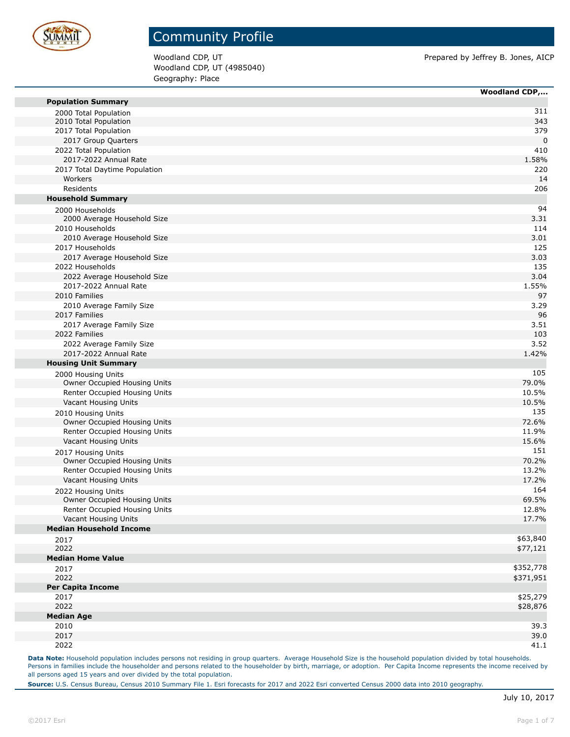

Woodland CDP, UT (4985040) Geography: Place

Woodland CDP, UT **Prepared by Jeffrey B. Jones, AICP** 

|                                | <b>Woodland CDP,</b> |
|--------------------------------|----------------------|
| <b>Population Summary</b>      |                      |
| 2000 Total Population          | 311                  |
| 2010 Total Population          | 343                  |
| 2017 Total Population          | 379                  |
| 2017 Group Quarters            | $\mathbf 0$          |
| 2022 Total Population          | 410                  |
| 2017-2022 Annual Rate          | 1.58%                |
| 2017 Total Daytime Population  | 220                  |
| Workers                        | 14                   |
| <b>Residents</b>               | 206                  |
| <b>Household Summary</b>       |                      |
| 2000 Households                | 94                   |
| 2000 Average Household Size    | 3.31                 |
| 2010 Households                | 114                  |
| 2010 Average Household Size    | 3.01                 |
| 2017 Households                | 125                  |
| 2017 Average Household Size    | 3.03                 |
| 2022 Households                | 135                  |
| 2022 Average Household Size    | 3.04                 |
| 2017-2022 Annual Rate          | 1.55%                |
| 2010 Families                  | 97                   |
| 2010 Average Family Size       | 3.29                 |
| 2017 Families                  | 96                   |
| 2017 Average Family Size       | 3.51                 |
| 2022 Families                  | 103                  |
| 2022 Average Family Size       | 3.52                 |
| 2017-2022 Annual Rate          | 1.42%                |
| <b>Housing Unit Summary</b>    |                      |
| 2000 Housing Units             | 105                  |
| Owner Occupied Housing Units   | 79.0%                |
| Renter Occupied Housing Units  | 10.5%                |
| Vacant Housing Units           | 10.5%                |
| 2010 Housing Units             | 135                  |
| Owner Occupied Housing Units   | 72.6%                |
| Renter Occupied Housing Units  | 11.9%                |
| Vacant Housing Units           | 15.6%                |
| 2017 Housing Units             | 151                  |
| Owner Occupied Housing Units   | 70.2%                |
| Renter Occupied Housing Units  | 13.2%                |
| Vacant Housing Units           | 17.2%                |
| 2022 Housing Units             | 164                  |
| Owner Occupied Housing Units   | 69.5%                |
| Renter Occupied Housing Units  | 12.8%                |
| Vacant Housing Units           | 17.7%                |
| <b>Median Household Income</b> |                      |
| 2017                           | \$63,840             |
| 2022                           | \$77,121             |
| <b>Median Home Value</b>       |                      |
| 2017                           | \$352,778            |
| 2022                           | \$371,951            |
| <b>Per Capita Income</b>       |                      |
| 2017                           | \$25,279             |
| 2022                           | \$28,876             |
| <b>Median Age</b>              |                      |
| 2010                           | 39.3                 |
| 2017                           | 39.0                 |
| 2022                           | 41.1                 |

Data Note: Household population includes persons not residing in group quarters. Average Household Size is the household population divided by total households. Persons in families include the householder and persons related to the householder by birth, marriage, or adoption. Per Capita Income represents the income received by all persons aged 15 years and over divided by the total population.

**Source:** U.S. Census Bureau, Census 2010 Summary File 1. Esri forecasts for 2017 and 2022 Esri converted Census 2000 data into 2010 geography.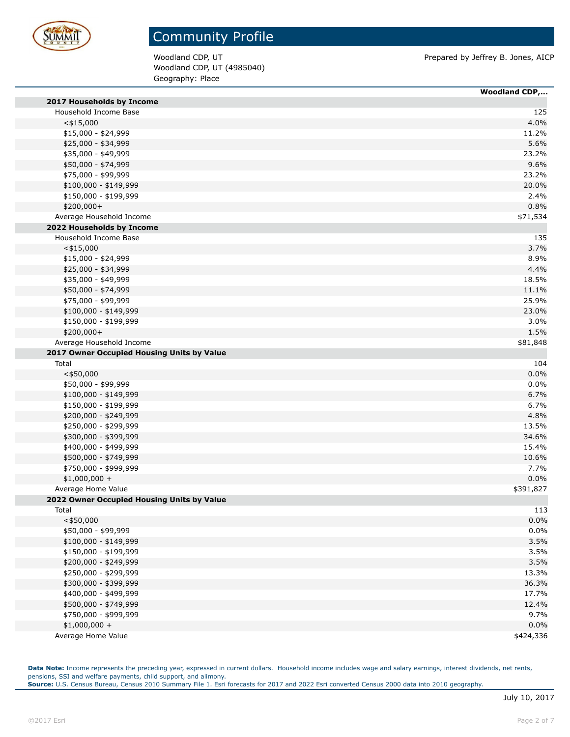

Woodland CDP, UT (4985040) Geography: Place

Woodland CDP, UT **Prepared by Jeffrey B. Jones, AICP** 

|                                            | <b>Woodland CDP,</b> |
|--------------------------------------------|----------------------|
| 2017 Households by Income                  |                      |
| Household Income Base                      | 125                  |
| $<$ \$15,000                               | 4.0%                 |
| \$15,000 - \$24,999                        | 11.2%                |
| \$25,000 - \$34,999                        | 5.6%                 |
| \$35,000 - \$49,999                        | 23.2%                |
| \$50,000 - \$74,999                        | 9.6%                 |
| \$75,000 - \$99,999                        | 23.2%                |
| $$100,000 - $149,999$                      | 20.0%                |
| \$150,000 - \$199,999                      | 2.4%                 |
| \$200,000+                                 | 0.8%                 |
| Average Household Income                   | \$71,534             |
| 2022 Households by Income                  |                      |
| Household Income Base                      | 135                  |
| $<$ \$15,000                               | 3.7%                 |
| $$15,000 - $24,999$                        | 8.9%                 |
| \$25,000 - \$34,999                        | 4.4%                 |
| \$35,000 - \$49,999                        | 18.5%                |
| \$50,000 - \$74,999                        | 11.1%                |
| \$75,000 - \$99,999                        | 25.9%                |
| \$100,000 - \$149,999                      | 23.0%                |
| \$150,000 - \$199,999                      | 3.0%                 |
| \$200,000+                                 | 1.5%                 |
| Average Household Income                   | \$81,848             |
| 2017 Owner Occupied Housing Units by Value |                      |
| Total                                      | 104                  |
| $<$ \$50,000                               | 0.0%                 |
| \$50,000 - \$99,999                        | 0.0%                 |
| \$100,000 - \$149,999                      | 6.7%                 |
| \$150,000 - \$199,999                      | 6.7%                 |
| \$200,000 - \$249,999                      | 4.8%                 |
| \$250,000 - \$299,999                      | 13.5%                |
| \$300,000 - \$399,999                      | 34.6%                |
| \$400,000 - \$499,999                      | 15.4%                |
| \$500,000 - \$749,999                      | 10.6%                |
| \$750,000 - \$999,999                      | 7.7%                 |
| $$1,000,000 +$                             | 0.0%                 |
| Average Home Value                         | \$391,827            |
| 2022 Owner Occupied Housing Units by Value |                      |
| Total                                      | 113                  |
| $<$ \$50,000                               | 0.0%                 |
| \$50,000 - \$99,999                        | 0.0%                 |
| \$100,000 - \$149,999                      | 3.5%                 |
| \$150,000 - \$199,999                      | 3.5%                 |
| \$200,000 - \$249,999                      | 3.5%                 |
| \$250,000 - \$299,999                      | 13.3%                |
| \$300,000 - \$399,999                      | 36.3%                |
| \$400,000 - \$499,999                      | 17.7%                |
| \$500,000 - \$749,999                      | 12.4%                |
| \$750,000 - \$999,999                      | 9.7%                 |
|                                            |                      |
| $$1,000,000 +$                             | 0.0%                 |
| Average Home Value                         | \$424,336            |

Data Note: Income represents the preceding year, expressed in current dollars. Household income includes wage and salary earnings, interest dividends, net rents, pensions, SSI and welfare payments, child support, and alimony. **Source:** U.S. Census Bureau, Census 2010 Summary File 1. Esri forecasts for 2017 and 2022 Esri converted Census 2000 data into 2010 geography.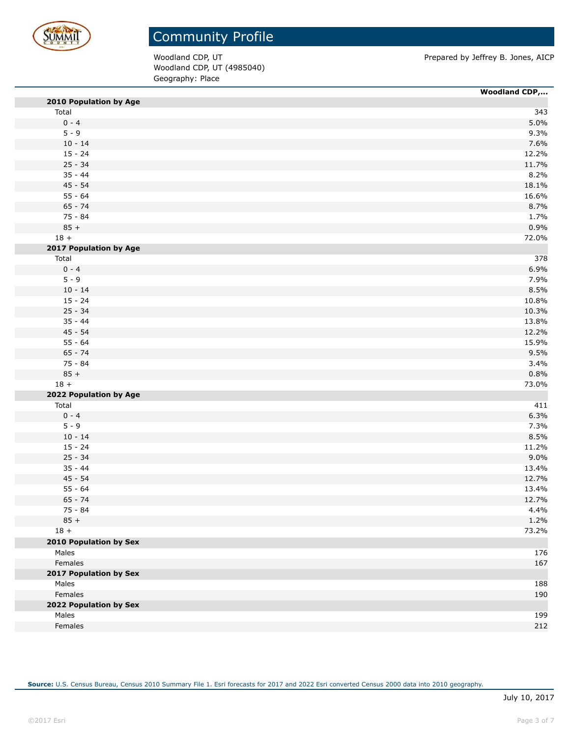

Woodland CDP, UT (4985040) Geography: Place

Woodland CDP, UT **Prepared by Jeffrey B. Jones, AICP** 

|                               | <b>Woodland CDP,</b> |
|-------------------------------|----------------------|
| 2010 Population by Age        |                      |
| Total                         | 343                  |
| $0 - 4$                       | 5.0%                 |
| $5 - 9$                       | 9.3%                 |
| $10 - 14$                     | 7.6%                 |
| $15 - 24$                     | 12.2%                |
| $25 - 34$                     | 11.7%                |
| $35 - 44$                     | 8.2%                 |
| $45 - 54$                     | 18.1%                |
| $55 - 64$                     | 16.6%                |
| $65 - 74$                     | 8.7%                 |
| 75 - 84                       | 1.7%                 |
| $85 +$                        | 0.9%                 |
| $18 +$                        | 72.0%                |
| 2017 Population by Age        |                      |
| Total                         | 378                  |
| $0 - 4$                       | 6.9%                 |
| $5 - 9$                       | 7.9%                 |
| $10 - 14$                     | 8.5%                 |
| $15 - 24$                     |                      |
|                               | 10.8%                |
| $25 - 34$                     | 10.3%                |
| $35 - 44$                     | 13.8%                |
| $45 - 54$                     | 12.2%                |
| $55 - 64$                     | 15.9%                |
| $65 - 74$                     | 9.5%                 |
| 75 - 84                       | 3.4%                 |
| $85 +$                        | 0.8%                 |
| $18 +$                        | 73.0%                |
| 2022 Population by Age        |                      |
| Total                         | 411                  |
| $0 - 4$                       | 6.3%                 |
| $5 - 9$                       | 7.3%                 |
| $10 - 14$                     | 8.5%                 |
| $15 - 24$                     | 11.2%                |
| $25 - 34$                     | 9.0%                 |
| $35 - 44$                     | 13.4%                |
| $45 - 54$                     | 12.7%                |
| $55 - 64$                     | 13.4%                |
| $65 - 74$                     | 12.7%                |
| $75 - 84$                     | 4.4%                 |
| $85 +$                        | 1.2%                 |
| $18 +$                        | 73.2%                |
| <b>2010 Population by Sex</b> |                      |
| Males                         | 176                  |
| Females                       | 167                  |
| 2017 Population by Sex        |                      |
| Males                         | 188                  |
| Females                       | 190                  |
|                               |                      |
| 2022 Population by Sex        |                      |
| Males                         | 199                  |
| Females                       | 212                  |

**Source:** U.S. Census Bureau, Census 2010 Summary File 1. Esri forecasts for 2017 and 2022 Esri converted Census 2000 data into 2010 geography.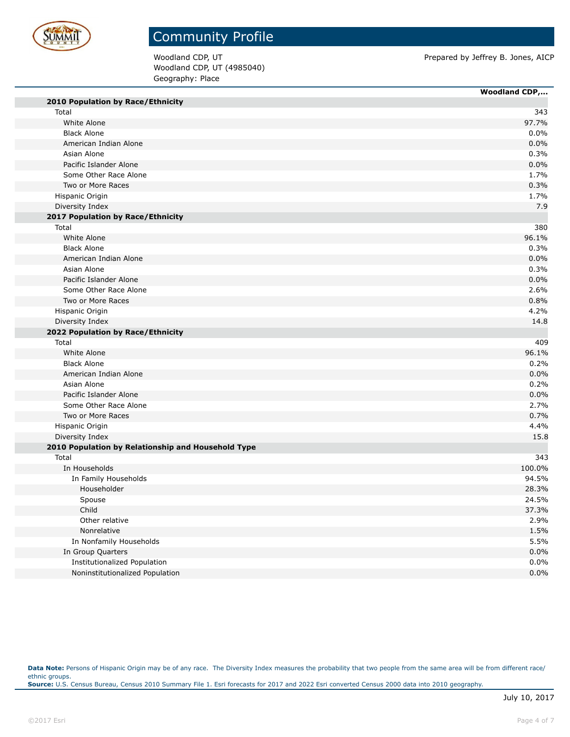

## Community Profile

Woodland CDP, UT (4985040) Geography: Place

Woodland CDP, UT **Prepared by Jeffrey B. Jones, AICP** 

 $\overline{\phantom{a}}$ 

|                                                    | <b>Woodland CDP,</b> |
|----------------------------------------------------|----------------------|
| 2010 Population by Race/Ethnicity                  |                      |
| Total                                              | 343                  |
| White Alone                                        | 97.7%                |
| <b>Black Alone</b>                                 | 0.0%                 |
| American Indian Alone                              | 0.0%                 |
| Asian Alone                                        | 0.3%                 |
| Pacific Islander Alone                             | 0.0%                 |
| Some Other Race Alone                              | 1.7%                 |
| Two or More Races                                  | 0.3%                 |
| Hispanic Origin                                    | 1.7%                 |
| Diversity Index                                    | 7.9                  |
| 2017 Population by Race/Ethnicity                  |                      |
| Total                                              | 380                  |
| White Alone                                        | 96.1%                |
| <b>Black Alone</b>                                 | 0.3%                 |
| American Indian Alone                              | 0.0%                 |
| Asian Alone                                        | 0.3%                 |
| Pacific Islander Alone                             | 0.0%                 |
| Some Other Race Alone                              | 2.6%                 |
| Two or More Races                                  | 0.8%                 |
| Hispanic Origin                                    | 4.2%                 |
| Diversity Index                                    | 14.8                 |
| 2022 Population by Race/Ethnicity                  |                      |
| Total                                              | 409                  |
| White Alone                                        | 96.1%                |
| <b>Black Alone</b>                                 | 0.2%                 |
| American Indian Alone                              | 0.0%                 |
| Asian Alone                                        | 0.2%                 |
| Pacific Islander Alone                             | 0.0%                 |
| Some Other Race Alone                              | 2.7%                 |
| Two or More Races                                  | 0.7%                 |
| Hispanic Origin                                    | 4.4%                 |
| Diversity Index                                    | 15.8                 |
| 2010 Population by Relationship and Household Type |                      |
| Total                                              | 343                  |
| In Households                                      | 100.0%               |
| In Family Households                               | 94.5%                |
| Householder                                        | 28.3%                |
| Spouse                                             | 24.5%                |
| Child                                              | 37.3%                |
| Other relative                                     | 2.9%                 |
| Nonrelative                                        | 1.5%                 |
| In Nonfamily Households                            | 5.5%                 |
| In Group Quarters                                  | 0.0%                 |
| Institutionalized Population                       | 0.0%                 |
| Noninstitutionalized Population                    | 0.0%                 |

Data Note: Persons of Hispanic Origin may be of any race. The Diversity Index measures the probability that two people from the same area will be from different race/ ethnic groups. **Source:** U.S. Census Bureau, Census 2010 Summary File 1. Esri forecasts for 2017 and 2022 Esri converted Census 2000 data into 2010 geography.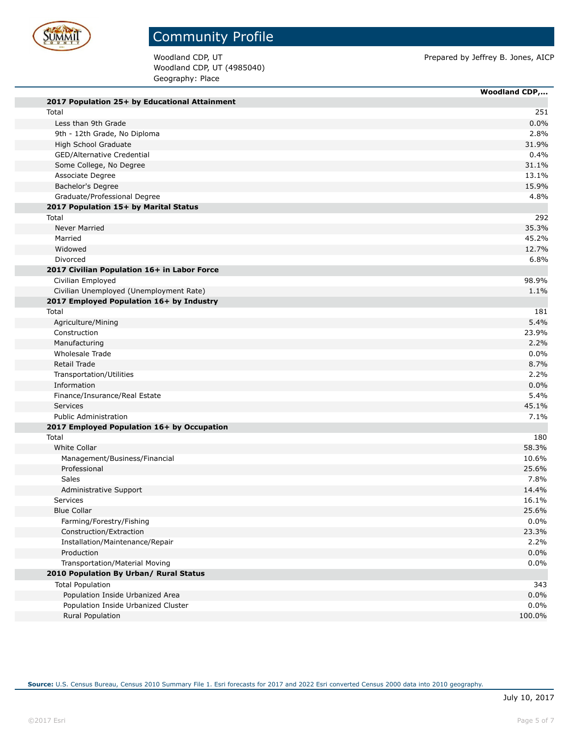

Woodland CDP, UT (4985040) Geography: Place

Woodland CDP, UT **Prepared by Jeffrey B. Jones, AICP** 

|                                                   | <b>Woodland CDP,</b> |
|---------------------------------------------------|----------------------|
| 2017 Population 25+ by Educational Attainment     |                      |
| Total                                             | 251                  |
| Less than 9th Grade                               | 0.0%                 |
| 9th - 12th Grade, No Diploma                      | 2.8%                 |
| High School Graduate                              | 31.9%                |
| GED/Alternative Credential                        | 0.4%                 |
| Some College, No Degree                           | 31.1%                |
| Associate Degree                                  | 13.1%                |
| Bachelor's Degree                                 | 15.9%                |
| Graduate/Professional Degree                      | 4.8%                 |
| 2017 Population 15+ by Marital Status             |                      |
| Total                                             | 292                  |
| Never Married                                     | 35.3%                |
| Married                                           | 45.2%                |
| Widowed                                           | 12.7%                |
| Divorced                                          | 6.8%                 |
| 2017 Civilian Population 16+ in Labor Force       |                      |
| Civilian Employed                                 | 98.9%                |
| Civilian Unemployed (Unemployment Rate)           | 1.1%                 |
| 2017 Employed Population 16+ by Industry<br>Total | 181                  |
|                                                   | 5.4%                 |
| Agriculture/Mining<br>Construction                | 23.9%                |
| Manufacturing                                     | 2.2%                 |
| Wholesale Trade                                   | 0.0%                 |
| Retail Trade                                      | 8.7%                 |
| Transportation/Utilities                          | 2.2%                 |
| Information                                       | 0.0%                 |
| Finance/Insurance/Real Estate                     | 5.4%                 |
| Services                                          | 45.1%                |
| <b>Public Administration</b>                      | 7.1%                 |
| 2017 Employed Population 16+ by Occupation        |                      |
| Total                                             | 180                  |
| White Collar                                      | 58.3%                |
| Management/Business/Financial                     | 10.6%                |
| Professional                                      | 25.6%                |
| Sales                                             | 7.8%                 |
| Administrative Support                            | 14.4%                |
| Services                                          | 16.1%                |
| <b>Blue Collar</b>                                | 25.6%                |
| Farming/Forestry/Fishing                          | 0.0%                 |
| Construction/Extraction                           | 23.3%                |
| Installation/Maintenance/Repair                   | 2.2%                 |
| Production                                        | 0.0%                 |
| Transportation/Material Moving                    | 0.0%                 |
| 2010 Population By Urban/ Rural Status            |                      |
| <b>Total Population</b>                           | 343                  |
| Population Inside Urbanized Area                  | 0.0%                 |
| Population Inside Urbanized Cluster               | 0.0%                 |
| Rural Population                                  | 100.0%               |
|                                                   |                      |

**Source:** U.S. Census Bureau, Census 2010 Summary File 1. Esri forecasts for 2017 and 2022 Esri converted Census 2000 data into 2010 geography.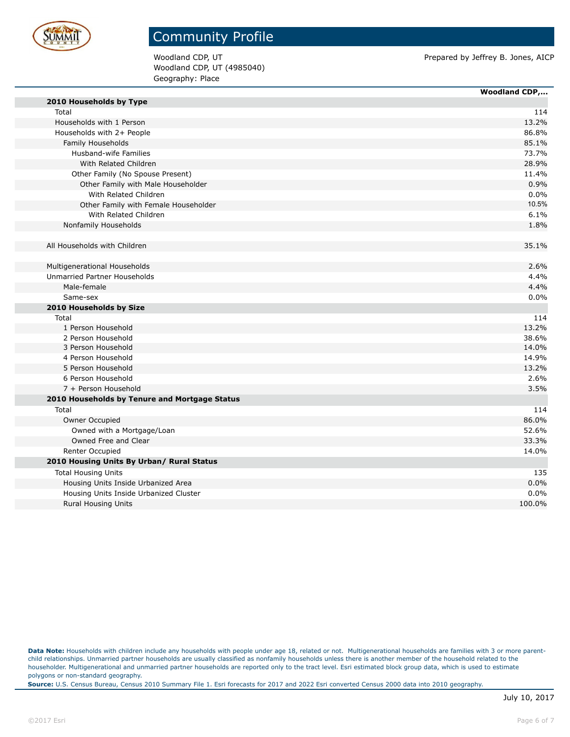

Woodland CDP, UT (4985040) Geography: Place

Woodland CDP, UT **Prepared by Jeffrey B. Jones, AICP** 

|                                               | <b>Woodland CDP,</b> |
|-----------------------------------------------|----------------------|
| 2010 Households by Type                       |                      |
| Total                                         | 114                  |
| Households with 1 Person                      | 13.2%                |
| Households with 2+ People                     | 86.8%                |
| Family Households                             | 85.1%                |
| <b>Husband-wife Families</b>                  | 73.7%                |
| With Related Children                         | 28.9%                |
| Other Family (No Spouse Present)              | 11.4%                |
| Other Family with Male Householder            | 0.9%                 |
| With Related Children                         | 0.0%                 |
| Other Family with Female Householder          | 10.5%                |
| With Related Children                         | 6.1%                 |
| Nonfamily Households                          | 1.8%                 |
|                                               |                      |
| All Households with Children                  | 35.1%                |
|                                               |                      |
| Multigenerational Households                  | 2.6%                 |
| Unmarried Partner Households                  | 4.4%                 |
| Male-female                                   | 4.4%                 |
| Same-sex                                      | 0.0%                 |
| 2010 Households by Size                       |                      |
| Total                                         | 114                  |
| 1 Person Household                            | 13.2%                |
| 2 Person Household                            | 38.6%                |
| 3 Person Household                            | 14.0%                |
| 4 Person Household                            | 14.9%                |
| 5 Person Household                            | 13.2%                |
| 6 Person Household                            | 2.6%                 |
| 7 + Person Household                          | 3.5%                 |
| 2010 Households by Tenure and Mortgage Status |                      |
| Total                                         | 114                  |
| Owner Occupied                                | 86.0%                |
| Owned with a Mortgage/Loan                    | 52.6%                |
| Owned Free and Clear                          | 33.3%                |
| Renter Occupied                               | 14.0%                |
| 2010 Housing Units By Urban/ Rural Status     |                      |
| <b>Total Housing Units</b>                    | 135                  |
| Housing Units Inside Urbanized Area           | 0.0%                 |
| Housing Units Inside Urbanized Cluster        | 0.0%                 |
| <b>Rural Housing Units</b>                    | 100.0%               |

Data Note: Households with children include any households with people under age 18, related or not. Multigenerational households are families with 3 or more parentchild relationships. Unmarried partner households are usually classified as nonfamily households unless there is another member of the household related to the householder. Multigenerational and unmarried partner households are reported only to the tract level. Esri estimated block group data, which is used to estimate polygons or non-standard geography.

**Source:** U.S. Census Bureau, Census 2010 Summary File 1. Esri forecasts for 2017 and 2022 Esri converted Census 2000 data into 2010 geography.